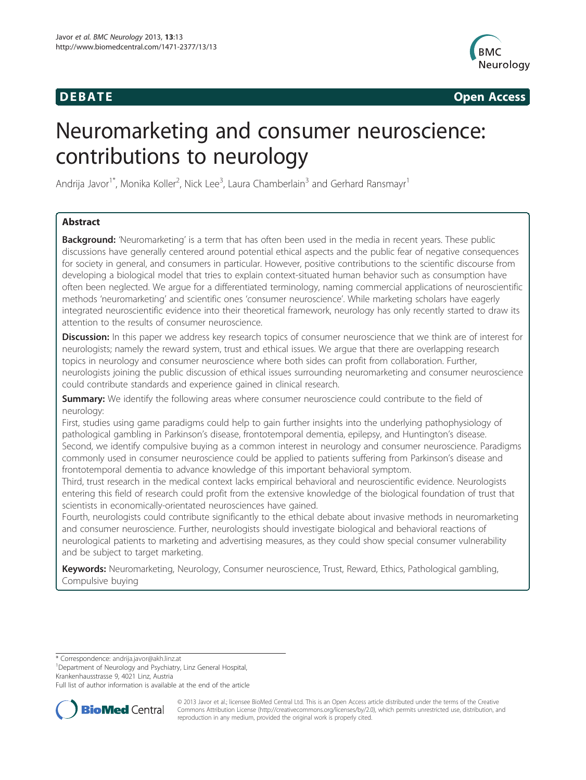

**DEBATE CONSIDERENT CONSIDERED ACCESS** 

# Neuromarketing and consumer neuroscience: contributions to neurology

Andrija Javor<sup>1\*</sup>, Monika Koller<sup>2</sup>, Nick Lee<sup>3</sup>, Laura Chamberlain<sup>3</sup> and Gerhard Ransmayr<sup>1</sup>

# Abstract

Background: 'Neuromarketing' is a term that has often been used in the media in recent years. These public discussions have generally centered around potential ethical aspects and the public fear of negative consequences for society in general, and consumers in particular. However, positive contributions to the scientific discourse from developing a biological model that tries to explain context-situated human behavior such as consumption have often been neglected. We argue for a differentiated terminology, naming commercial applications of neuroscientific methods 'neuromarketing' and scientific ones 'consumer neuroscience'. While marketing scholars have eagerly integrated neuroscientific evidence into their theoretical framework, neurology has only recently started to draw its attention to the results of consumer neuroscience.

Discussion: In this paper we address key research topics of consumer neuroscience that we think are of interest for neurologists; namely the reward system, trust and ethical issues. We argue that there are overlapping research topics in neurology and consumer neuroscience where both sides can profit from collaboration. Further, neurologists joining the public discussion of ethical issues surrounding neuromarketing and consumer neuroscience could contribute standards and experience gained in clinical research.

**Summary:** We identify the following areas where consumer neuroscience could contribute to the field of neurology:

First, studies using game paradigms could help to gain further insights into the underlying pathophysiology of pathological gambling in Parkinson's disease, frontotemporal dementia, epilepsy, and Huntington's disease. Second, we identify compulsive buying as a common interest in neurology and consumer neuroscience. Paradigms commonly used in consumer neuroscience could be applied to patients suffering from Parkinson's disease and frontotemporal dementia to advance knowledge of this important behavioral symptom.

Third, trust research in the medical context lacks empirical behavioral and neuroscientific evidence. Neurologists entering this field of research could profit from the extensive knowledge of the biological foundation of trust that scientists in economically-orientated neurosciences have gained.

Fourth, neurologists could contribute significantly to the ethical debate about invasive methods in neuromarketing and consumer neuroscience. Further, neurologists should investigate biological and behavioral reactions of neurological patients to marketing and advertising measures, as they could show special consumer vulnerability and be subject to target marketing.

Keywords: Neuromarketing, Neurology, Consumer neuroscience, Trust, Reward, Ethics, Pathological gambling, Compulsive buying

\* Correspondence: [andrija.javor@akh.linz.at](mailto:andrija.javor@akh.linz.at) <sup>1</sup>

<sup>1</sup>Department of Neurology and Psychiatry, Linz General Hospital, Krankenhausstrasse 9, 4021 Linz, Austria

Full list of author information is available at the end of the article



© 2013 Javor et al.; licensee BioMed Central Ltd. This is an Open Access article distributed under the terms of the Creative Commons Attribution License [\(http://creativecommons.org/licenses/by/2.0\)](http://creativecommons.org/licenses/by/2.0), which permits unrestricted use, distribution, and reproduction in any medium, provided the original work is properly cited.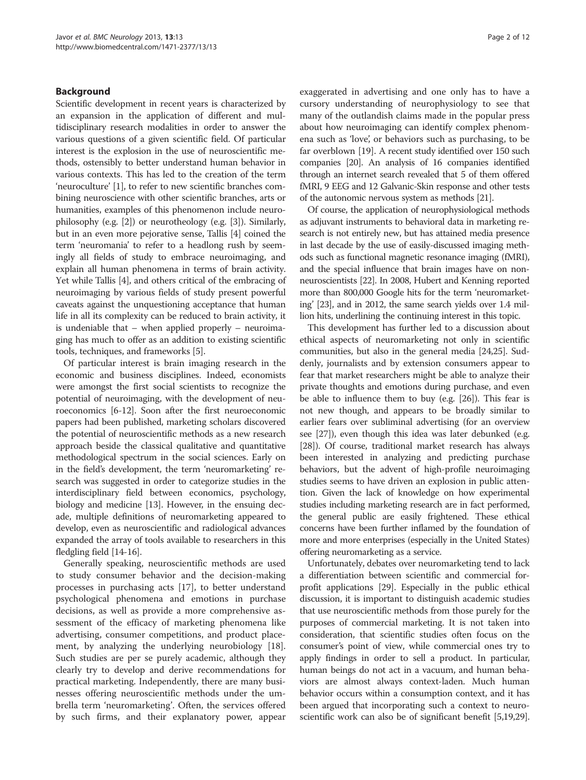# Background

Scientific development in recent years is characterized by an expansion in the application of different and multidisciplinary research modalities in order to answer the various questions of a given scientific field. Of particular interest is the explosion in the use of neuroscientific methods, ostensibly to better understand human behavior in various contexts. This has led to the creation of the term 'neuroculture' [[1\]](#page-8-0), to refer to new scientific branches combining neuroscience with other scientific branches, arts or humanities, examples of this phenomenon include neurophilosophy (e.g. [[2](#page-8-0)]) or neurotheology (e.g. [[3\]](#page-8-0)). Similarly, but in an even more pejorative sense, Tallis [\[4](#page-8-0)] coined the term 'neuromania' to refer to a headlong rush by seemingly all fields of study to embrace neuroimaging, and explain all human phenomena in terms of brain activity. Yet while Tallis [\[4](#page-8-0)], and others critical of the embracing of neuroimaging by various fields of study present powerful caveats against the unquestioning acceptance that human life in all its complexity can be reduced to brain activity, it is undeniable that – when applied properly – neuroimaging has much to offer as an addition to existing scientific tools, techniques, and frameworks [[5\]](#page-8-0).

Of particular interest is brain imaging research in the economic and business disciplines. Indeed, economists were amongst the first social scientists to recognize the potential of neuroimaging, with the development of neuroeconomics [[6-12](#page-8-0)]. Soon after the first neuroeconomic papers had been published, marketing scholars discovered the potential of neuroscientific methods as a new research approach beside the classical qualitative and quantitative methodological spectrum in the social sciences. Early on in the field's development, the term 'neuromarketing' research was suggested in order to categorize studies in the interdisciplinary field between economics, psychology, biology and medicine [\[13\]](#page-8-0). However, in the ensuing decade, multiple definitions of neuromarketing appeared to develop, even as neuroscientific and radiological advances expanded the array of tools available to researchers in this fledgling field [\[14-16](#page-8-0)].

Generally speaking, neuroscientific methods are used to study consumer behavior and the decision-making processes in purchasing acts [\[17](#page-8-0)], to better understand psychological phenomena and emotions in purchase decisions, as well as provide a more comprehensive assessment of the efficacy of marketing phenomena like advertising, consumer competitions, and product placement, by analyzing the underlying neurobiology [\[18](#page-8-0)]. Such studies are per se purely academic, although they clearly try to develop and derive recommendations for practical marketing. Independently, there are many businesses offering neuroscientific methods under the umbrella term 'neuromarketing'. Often, the services offered by such firms, and their explanatory power, appear

exaggerated in advertising and one only has to have a cursory understanding of neurophysiology to see that many of the outlandish claims made in the popular press about how neuroimaging can identify complex phenomena such as 'love', or behaviors such as purchasing, to be far overblown [\[19](#page-8-0)]. A recent study identified over 150 such companies [[20](#page-8-0)]. An analysis of 16 companies identified through an internet search revealed that 5 of them offered fMRI, 9 EEG and 12 Galvanic-Skin response and other tests of the autonomic nervous system as methods [[21](#page-8-0)].

Of course, the application of neurophysiological methods as adjuvant instruments to behavioral data in marketing research is not entirely new, but has attained media presence in last decade by the use of easily-discussed imaging methods such as functional magnetic resonance imaging (fMRI), and the special influence that brain images have on nonneuroscientists [[22](#page-8-0)]. In 2008, Hubert and Kenning reported more than 800,000 Google hits for the term 'neuromarketing' [\[23](#page-8-0)], and in 2012, the same search yields over 1.4 million hits, underlining the continuing interest in this topic.

This development has further led to a discussion about ethical aspects of neuromarketing not only in scientific communities, but also in the general media [[24,25](#page-8-0)]. Suddenly, journalists and by extension consumers appear to fear that market researchers might be able to analyze their private thoughts and emotions during purchase, and even be able to influence them to buy (e.g. [[26](#page-8-0)]). This fear is not new though, and appears to be broadly similar to earlier fears over subliminal advertising (for an overview see [\[27\]](#page-8-0)), even though this idea was later debunked (e.g. [[28](#page-8-0)]). Of course, traditional market research has always been interested in analyzing and predicting purchase behaviors, but the advent of high-profile neuroimaging studies seems to have driven an explosion in public attention. Given the lack of knowledge on how experimental studies including marketing research are in fact performed, the general public are easily frightened. These ethical concerns have been further inflamed by the foundation of more and more enterprises (especially in the United States) offering neuromarketing as a service.

Unfortunately, debates over neuromarketing tend to lack a differentiation between scientific and commercial forprofit applications [[29](#page-8-0)]. Especially in the public ethical discussion, it is important to distinguish academic studies that use neuroscientific methods from those purely for the purposes of commercial marketing. It is not taken into consideration, that scientific studies often focus on the consumer's point of view, while commercial ones try to apply findings in order to sell a product. In particular, human beings do not act in a vacuum, and human behaviors are almost always context-laden. Much human behavior occurs within a consumption context, and it has been argued that incorporating such a context to neuroscientific work can also be of significant benefit [\[5,19,29](#page-8-0)].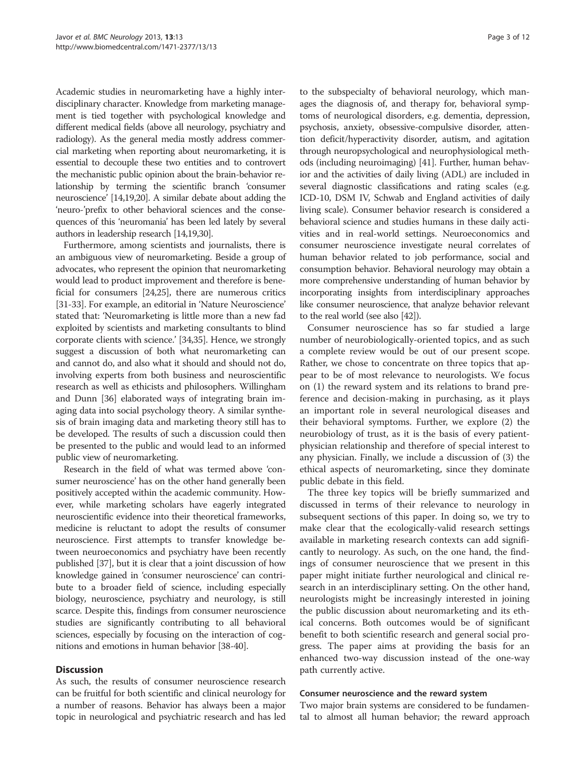Academic studies in neuromarketing have a highly interdisciplinary character. Knowledge from marketing management is tied together with psychological knowledge and different medical fields (above all neurology, psychiatry and radiology). As the general media mostly address commercial marketing when reporting about neuromarketing, it is essential to decouple these two entities and to controvert the mechanistic public opinion about the brain-behavior relationship by terming the scientific branch 'consumer neuroscience' [\[14,19,20\]](#page-8-0). A similar debate about adding the 'neuro-'prefix to other behavioral sciences and the consequences of this 'neuromania' has been led lately by several authors in leadership research [\[14,19,30\]](#page-8-0).

Furthermore, among scientists and journalists, there is an ambiguous view of neuromarketing. Beside a group of advocates, who represent the opinion that neuromarketing would lead to product improvement and therefore is beneficial for consumers [[24,25\]](#page-8-0), there are numerous critics [[31](#page-8-0)-[33](#page-8-0)]. For example, an editorial in 'Nature Neuroscience' stated that: 'Neuromarketing is little more than a new fad exploited by scientists and marketing consultants to blind corporate clients with science.' [\[34,35](#page-8-0)]. Hence, we strongly suggest a discussion of both what neuromarketing can and cannot do, and also what it should and should not do, involving experts from both business and neuroscientific research as well as ethicists and philosophers. Willingham and Dunn [\[36\]](#page-8-0) elaborated ways of integrating brain imaging data into social psychology theory. A similar synthesis of brain imaging data and marketing theory still has to be developed. The results of such a discussion could then be presented to the public and would lead to an informed public view of neuromarketing.

Research in the field of what was termed above 'consumer neuroscience' has on the other hand generally been positively accepted within the academic community. However, while marketing scholars have eagerly integrated neuroscientific evidence into their theoretical frameworks, medicine is reluctant to adopt the results of consumer neuroscience. First attempts to transfer knowledge between neuroeconomics and psychiatry have been recently published [\[37\]](#page-8-0), but it is clear that a joint discussion of how knowledge gained in 'consumer neuroscience' can contribute to a broader field of science, including especially biology, neuroscience, psychiatry and neurology, is still scarce. Despite this, findings from consumer neuroscience studies are significantly contributing to all behavioral sciences, especially by focusing on the interaction of cognitions and emotions in human behavior [[38](#page-8-0)-[40](#page-8-0)].

## **Discussion**

As such, the results of consumer neuroscience research can be fruitful for both scientific and clinical neurology for a number of reasons. Behavior has always been a major topic in neurological and psychiatric research and has led

to the subspecialty of behavioral neurology, which manages the diagnosis of, and therapy for, behavioral symptoms of neurological disorders, e.g. dementia, depression, psychosis, anxiety, obsessive-compulsive disorder, attention deficit/hyperactivity disorder, autism, and agitation through neuropsychological and neurophysiological methods (including neuroimaging) [\[41\]](#page-8-0). Further, human behavior and the activities of daily living (ADL) are included in several diagnostic classifications and rating scales (e.g. ICD-10, DSM IV, Schwab and England activities of daily living scale). Consumer behavior research is considered a behavioral science and studies humans in these daily activities and in real-world settings. Neuroeconomics and consumer neuroscience investigate neural correlates of human behavior related to job performance, social and consumption behavior. Behavioral neurology may obtain a more comprehensive understanding of human behavior by incorporating insights from interdisciplinary approaches like consumer neuroscience, that analyze behavior relevant to the real world (see also [[42](#page-8-0)]).

Consumer neuroscience has so far studied a large number of neurobiologically-oriented topics, and as such a complete review would be out of our present scope. Rather, we chose to concentrate on three topics that appear to be of most relevance to neurologists. We focus on (1) the reward system and its relations to brand preference and decision-making in purchasing, as it plays an important role in several neurological diseases and their behavioral symptoms. Further, we explore (2) the neurobiology of trust, as it is the basis of every patientphysician relationship and therefore of special interest to any physician. Finally, we include a discussion of (3) the ethical aspects of neuromarketing, since they dominate public debate in this field.

The three key topics will be briefly summarized and discussed in terms of their relevance to neurology in subsequent sections of this paper. In doing so, we try to make clear that the ecologically-valid research settings available in marketing research contexts can add significantly to neurology. As such, on the one hand, the findings of consumer neuroscience that we present in this paper might initiate further neurological and clinical research in an interdisciplinary setting. On the other hand, neurologists might be increasingly interested in joining the public discussion about neuromarketing and its ethical concerns. Both outcomes would be of significant benefit to both scientific research and general social progress. The paper aims at providing the basis for an enhanced two-way discussion instead of the one-way path currently active.

### Consumer neuroscience and the reward system

Two major brain systems are considered to be fundamental to almost all human behavior; the reward approach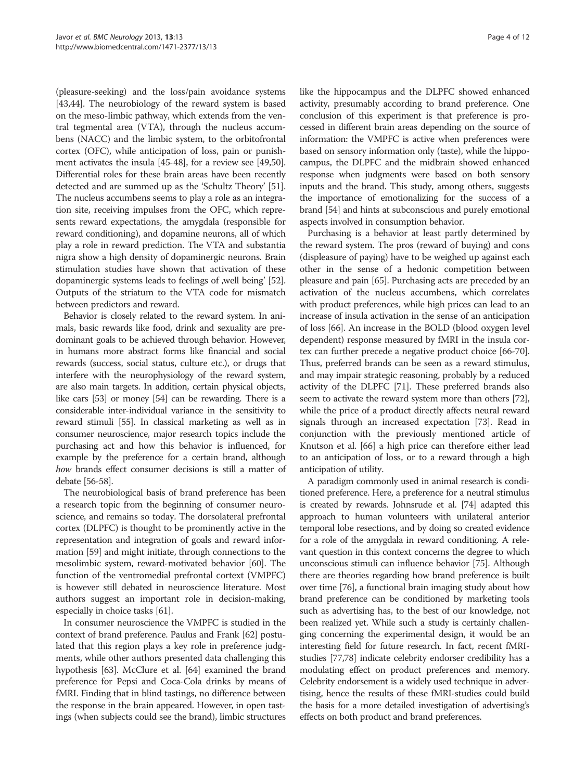(pleasure-seeking) and the loss/pain avoidance systems [[43,44](#page-9-0)]. The neurobiology of the reward system is based on the meso-limbic pathway, which extends from the ventral tegmental area (VTA), through the nucleus accumbens (NACC) and the limbic system, to the orbitofrontal cortex (OFC), while anticipation of loss, pain or punishment activates the insula [\[45-48\]](#page-9-0), for a review see [\[49,50](#page-9-0)]. Differential roles for these brain areas have been recently detected and are summed up as the 'Schultz Theory' [[51](#page-9-0)]. The nucleus accumbens seems to play a role as an integration site, receiving impulses from the OFC, which represents reward expectations, the amygdala (responsible for reward conditioning), and dopamine neurons, all of which play a role in reward prediction. The VTA and substantia nigra show a high density of dopaminergic neurons. Brain stimulation studies have shown that activation of these dopaminergic systems leads to feelings of , well being' [[52](#page-9-0)]. Outputs of the striatum to the VTA code for mismatch between predictors and reward.

Behavior is closely related to the reward system. In animals, basic rewards like food, drink and sexuality are predominant goals to be achieved through behavior. However, in humans more abstract forms like financial and social rewards (success, social status, culture etc.), or drugs that interfere with the neurophysiology of the reward system, are also main targets. In addition, certain physical objects, like cars [\[53\]](#page-9-0) or money [\[54](#page-9-0)] can be rewarding. There is a considerable inter-individual variance in the sensitivity to reward stimuli [\[55\]](#page-9-0). In classical marketing as well as in consumer neuroscience, major research topics include the purchasing act and how this behavior is influenced, for example by the preference for a certain brand, although how brands effect consumer decisions is still a matter of debate [[56](#page-9-0)-[58](#page-9-0)].

The neurobiological basis of brand preference has been a research topic from the beginning of consumer neuroscience, and remains so today. The dorsolateral prefrontal cortex (DLPFC) is thought to be prominently active in the representation and integration of goals and reward information [[59](#page-9-0)] and might initiate, through connections to the mesolimbic system, reward-motivated behavior [[60](#page-9-0)]. The function of the ventromedial prefrontal cortext (VMPFC) is however still debated in neuroscience literature. Most authors suggest an important role in decision-making, especially in choice tasks [\[61\]](#page-9-0).

In consumer neuroscience the VMPFC is studied in the context of brand preference. Paulus and Frank [\[62\]](#page-9-0) postulated that this region plays a key role in preference judgments, while other authors presented data challenging this hypothesis [[63](#page-9-0)]. McClure et al. [\[64\]](#page-9-0) examined the brand preference for Pepsi and Coca-Cola drinks by means of fMRI. Finding that in blind tastings, no difference between the response in the brain appeared. However, in open tastings (when subjects could see the brand), limbic structures like the hippocampus and the DLPFC showed enhanced activity, presumably according to brand preference. One conclusion of this experiment is that preference is processed in different brain areas depending on the source of information: the VMPFC is active when preferences were based on sensory information only (taste), while the hippocampus, the DLPFC and the midbrain showed enhanced response when judgments were based on both sensory inputs and the brand. This study, among others, suggests the importance of emotionalizing for the success of a brand [[54](#page-9-0)] and hints at subconscious and purely emotional aspects involved in consumption behavior.

Purchasing is a behavior at least partly determined by the reward system. The pros (reward of buying) and cons (displeasure of paying) have to be weighed up against each other in the sense of a hedonic competition between pleasure and pain [[65](#page-9-0)]. Purchasing acts are preceded by an activation of the nucleus accumbens, which correlates with product preferences, while high prices can lead to an increase of insula activation in the sense of an anticipation of loss [[66](#page-9-0)]. An increase in the BOLD (blood oxygen level dependent) response measured by fMRI in the insula cortex can further precede a negative product choice [[66](#page-9-0)-[70](#page-9-0)]. Thus, preferred brands can be seen as a reward stimulus, and may impair strategic reasoning, probably by a reduced activity of the DLPFC [\[71](#page-9-0)]. These preferred brands also seem to activate the reward system more than others [[72](#page-9-0)], while the price of a product directly affects neural reward signals through an increased expectation [[73](#page-9-0)]. Read in conjunction with the previously mentioned article of Knutson et al. [\[66\]](#page-9-0) a high price can therefore either lead to an anticipation of loss, or to a reward through a high anticipation of utility.

A paradigm commonly used in animal research is conditioned preference. Here, a preference for a neutral stimulus is created by rewards. Johnsrude et al. [[74](#page-9-0)] adapted this approach to human volunteers with unilateral anterior temporal lobe resections, and by doing so created evidence for a role of the amygdala in reward conditioning. A relevant question in this context concerns the degree to which unconscious stimuli can influence behavior [\[75\]](#page-9-0). Although there are theories regarding how brand preference is built over time [\[76\]](#page-9-0), a functional brain imaging study about how brand preference can be conditioned by marketing tools such as advertising has, to the best of our knowledge, not been realized yet. While such a study is certainly challenging concerning the experimental design, it would be an interesting field for future research. In fact, recent fMRIstudies [\[77,78](#page-9-0)] indicate celebrity endorser credibility has a modulating effect on product preferences and memory. Celebrity endorsement is a widely used technique in advertising, hence the results of these fMRI-studies could build the basis for a more detailed investigation of advertising's effects on both product and brand preferences.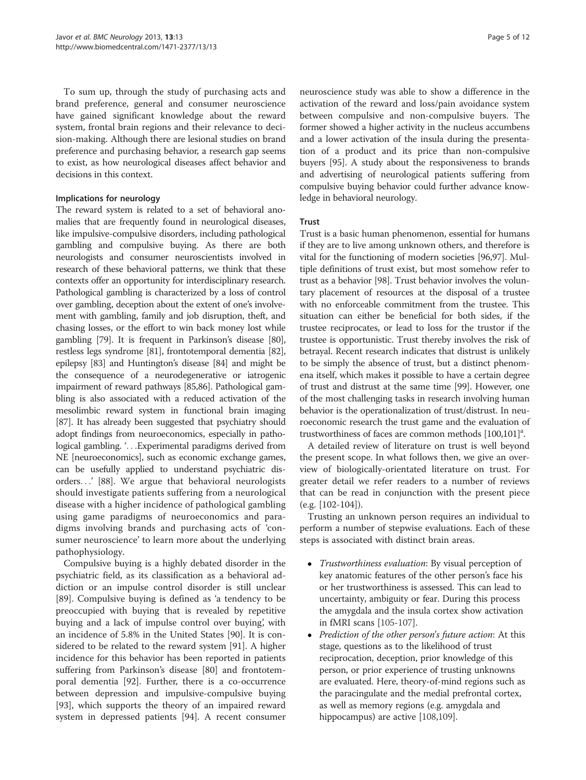To sum up, through the study of purchasing acts and brand preference, general and consumer neuroscience have gained significant knowledge about the reward system, frontal brain regions and their relevance to decision-making. Although there are lesional studies on brand preference and purchasing behavior, a research gap seems to exist, as how neurological diseases affect behavior and decisions in this context.

# Implications for neurology

The reward system is related to a set of behavioral anomalies that are frequently found in neurological diseases, like impulsive-compulsive disorders, including pathological gambling and compulsive buying. As there are both neurologists and consumer neuroscientists involved in research of these behavioral patterns, we think that these contexts offer an opportunity for interdisciplinary research. Pathological gambling is characterized by a loss of control over gambling, deception about the extent of one's involvement with gambling, family and job disruption, theft, and chasing losses, or the effort to win back money lost while gambling [[79](#page-9-0)]. It is frequent in Parkinson's disease [[80](#page-9-0)], restless legs syndrome [[81](#page-9-0)], frontotemporal dementia [\[82](#page-9-0)], epilepsy [\[83](#page-9-0)] and Huntington's disease [\[84\]](#page-9-0) and might be the consequence of a neurodegenerative or iatrogenic impairment of reward pathways [[85,86\]](#page-9-0). Pathological gambling is also associated with a reduced activation of the mesolimbic reward system in functional brain imaging [[87](#page-9-0)]. It has already been suggested that psychiatry should adopt findings from neuroeconomics, especially in pathological gambling. '...Experimental paradigms derived from NE [neuroeconomics], such as economic exchange games, can be usefully applied to understand psychiatric disorders...' [[88](#page-9-0)]. We argue that behavioral neurologists should investigate patients suffering from a neurological disease with a higher incidence of pathological gambling using game paradigms of neuroeconomics and paradigms involving brands and purchasing acts of 'consumer neuroscience' to learn more about the underlying pathophysiology.

Compulsive buying is a highly debated disorder in the psychiatric field, as its classification as a behavioral addiction or an impulse control disorder is still unclear [[89\]](#page-9-0). Compulsive buying is defined as 'a tendency to be preoccupied with buying that is revealed by repetitive buying and a lack of impulse control over buying', with an incidence of 5.8% in the United States [\[90](#page-9-0)]. It is considered to be related to the reward system [\[91](#page-9-0)]. A higher incidence for this behavior has been reported in patients suffering from Parkinson's disease [[80](#page-9-0)] and frontotemporal dementia [\[92](#page-9-0)]. Further, there is a co-occurrence between depression and impulsive-compulsive buying [[93\]](#page-9-0), which supports the theory of an impaired reward system in depressed patients [[94\]](#page-9-0). A recent consumer

neuroscience study was able to show a difference in the activation of the reward and loss/pain avoidance system between compulsive and non-compulsive buyers. The former showed a higher activity in the nucleus accumbens and a lower activation of the insula during the presentation of a product and its price than non-compulsive buyers [\[95\]](#page-9-0). A study about the responsiveness to brands and advertising of neurological patients suffering from compulsive buying behavior could further advance knowledge in behavioral neurology.

# Trust

Trust is a basic human phenomenon, essential for humans if they are to live among unknown others, and therefore is vital for the functioning of modern societies [[96,97](#page-9-0)]. Multiple definitions of trust exist, but most somehow refer to trust as a behavior [[98](#page-9-0)]. Trust behavior involves the voluntary placement of resources at the disposal of a trustee with no enforceable commitment from the trustee. This situation can either be beneficial for both sides, if the trustee reciprocates, or lead to loss for the trustor if the trustee is opportunistic. Trust thereby involves the risk of betrayal. Recent research indicates that distrust is unlikely to be simply the absence of trust, but a distinct phenomena itself, which makes it possible to have a certain degree of trust and distrust at the same time [[99\]](#page-10-0). However, one of the most challenging tasks in research involving human behavior is the operationalization of trust/distrust. In neuroeconomic research the trust game and the evaluation of trustworthiness of faces are common methods  $[100, 101]$ <sup>a</sup>.

A detailed review of literature on trust is well beyond the present scope. In what follows then, we give an overview of biologically-orientated literature on trust. For greater detail we refer readers to a number of reviews that can be read in conjunction with the present piece (e.g. [\[102](#page-10-0)-[104](#page-10-0)]).

Trusting an unknown person requires an individual to perform a number of stepwise evaluations. Each of these steps is associated with distinct brain areas.

- *Trustworthiness evaluation*: By visual perception of key anatomic features of the other person's face his or her trustworthiness is assessed. This can lead to uncertainty, ambiguity or fear. During this process the amygdala and the insula cortex show activation in fMRI scans [[105](#page-10-0)-[107](#page-10-0)].
- Prediction of the other person's future action: At this stage, questions as to the likelihood of trust reciprocation, deception, prior knowledge of this person, or prior experience of trusting unknowns are evaluated. Here, theory-of-mind regions such as the paracingulate and the medial prefrontal cortex, as well as memory regions (e.g. amygdala and hippocampus) are active [\[108](#page-10-0),[109](#page-10-0)].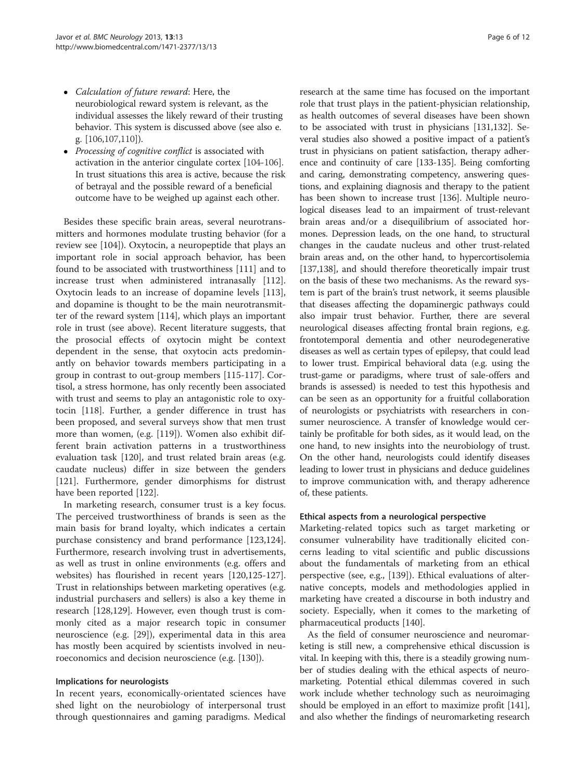- Calculation of future reward: Here, the neurobiological reward system is relevant, as the individual assesses the likely reward of their trusting behavior. This system is discussed above (see also e. g. [[106,107,110](#page-10-0)]).
- Processing of cognitive conflict is associated with activation in the anterior cingulate cortex [[104](#page-10-0)-[106](#page-10-0)]. In trust situations this area is active, because the risk of betrayal and the possible reward of a beneficial outcome have to be weighed up against each other.

Besides these specific brain areas, several neurotransmitters and hormones modulate trusting behavior (for a review see [[104\]](#page-10-0)). Oxytocin, a neuropeptide that plays an important role in social approach behavior, has been found to be associated with trustworthiness [[111\]](#page-10-0) and to increase trust when administered intranasally [\[112](#page-10-0)]. Oxytocin leads to an increase of dopamine levels [\[113](#page-10-0)], and dopamine is thought to be the main neurotransmitter of the reward system [[114\]](#page-10-0), which plays an important role in trust (see above). Recent literature suggests, that the prosocial effects of oxytocin might be context dependent in the sense, that oxytocin acts predominantly on behavior towards members participating in a group in contrast to out-group members [\[115](#page-10-0)-[117](#page-10-0)]. Cortisol, a stress hormone, has only recently been associated with trust and seems to play an antagonistic role to oxytocin [\[118\]](#page-10-0). Further, a gender difference in trust has been proposed, and several surveys show that men trust more than women, (e.g. [\[119\]](#page-10-0)). Women also exhibit different brain activation patterns in a trustworthiness evaluation task [\[120\]](#page-10-0), and trust related brain areas (e.g. caudate nucleus) differ in size between the genders [[121\]](#page-10-0). Furthermore, gender dimorphisms for distrust have been reported [\[122](#page-10-0)].

In marketing research, consumer trust is a key focus. The perceived trustworthiness of brands is seen as the main basis for brand loyalty, which indicates a certain purchase consistency and brand performance [[123,124](#page-10-0)]. Furthermore, research involving trust in advertisements, as well as trust in online environments (e.g. offers and websites) has flourished in recent years [\[120,125-127](#page-10-0)]. Trust in relationships between marketing operatives (e.g. industrial purchasers and sellers) is also a key theme in research [[128,129](#page-10-0)]. However, even though trust is commonly cited as a major research topic in consumer neuroscience (e.g. [[29\]](#page-8-0)), experimental data in this area has mostly been acquired by scientists involved in neuroeconomics and decision neuroscience (e.g. [\[130\]](#page-10-0)).

### Implications for neurologists

In recent years, economically-orientated sciences have shed light on the neurobiology of interpersonal trust through questionnaires and gaming paradigms. Medical research at the same time has focused on the important role that trust plays in the patient-physician relationship, as health outcomes of several diseases have been shown to be associated with trust in physicians [\[131,132](#page-10-0)]. Several studies also showed a positive impact of a patient's trust in physicians on patient satisfaction, therapy adherence and continuity of care [\[133-135](#page-10-0)]. Being comforting and caring, demonstrating competency, answering questions, and explaining diagnosis and therapy to the patient has been shown to increase trust [[136](#page-10-0)]. Multiple neurological diseases lead to an impairment of trust-relevant brain areas and/or a disequilibrium of associated hormones. Depression leads, on the one hand, to structural changes in the caudate nucleus and other trust-related brain areas and, on the other hand, to hypercortisolemia [[137,138\]](#page-10-0), and should therefore theoretically impair trust on the basis of these two mechanisms. As the reward system is part of the brain's trust network, it seems plausible that diseases affecting the dopaminergic pathways could also impair trust behavior. Further, there are several neurological diseases affecting frontal brain regions, e.g. frontotemporal dementia and other neurodegenerative diseases as well as certain types of epilepsy, that could lead to lower trust. Empirical behavioral data (e.g. using the trust-game or paradigms, where trust of sale-offers and brands is assessed) is needed to test this hypothesis and can be seen as an opportunity for a fruitful collaboration of neurologists or psychiatrists with researchers in consumer neuroscience. A transfer of knowledge would certainly be profitable for both sides, as it would lead, on the one hand, to new insights into the neurobiology of trust. On the other hand, neurologists could identify diseases leading to lower trust in physicians and deduce guidelines to improve communication with, and therapy adherence of, these patients.

### Ethical aspects from a neurological perspective

Marketing-related topics such as target marketing or consumer vulnerability have traditionally elicited concerns leading to vital scientific and public discussions about the fundamentals of marketing from an ethical perspective (see, e.g., [[139\]](#page-10-0)). Ethical evaluations of alternative concepts, models and methodologies applied in marketing have created a discourse in both industry and society. Especially, when it comes to the marketing of pharmaceutical products [\[140\]](#page-10-0).

As the field of consumer neuroscience and neuromarketing is still new, a comprehensive ethical discussion is vital. In keeping with this, there is a steadily growing number of studies dealing with the ethical aspects of neuromarketing. Potential ethical dilemmas covered in such work include whether technology such as neuroimaging should be employed in an effort to maximize profit [\[141](#page-10-0)], and also whether the findings of neuromarketing research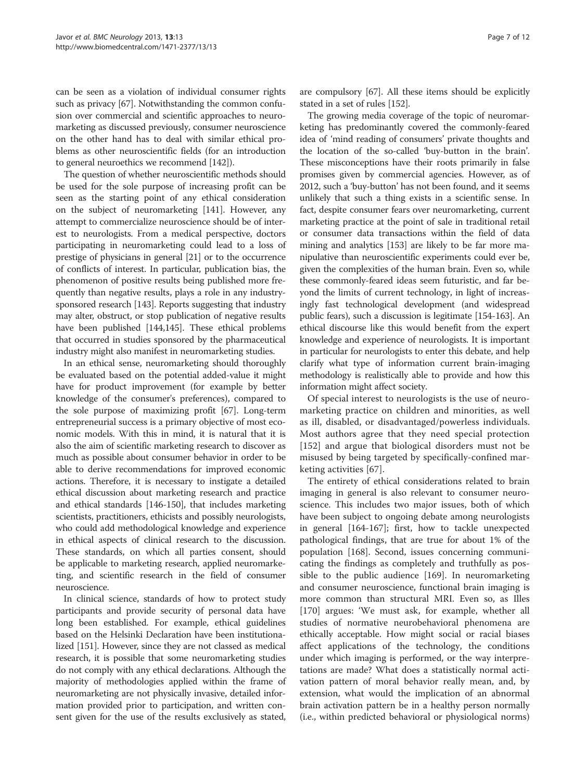can be seen as a violation of individual consumer rights such as privacy [\[67\]](#page-9-0). Notwithstanding the common confusion over commercial and scientific approaches to neuromarketing as discussed previously, consumer neuroscience on the other hand has to deal with similar ethical problems as other neuroscientific fields (for an introduction to general neuroethics we recommend [[142](#page-10-0)]).

The question of whether neuroscientific methods should be used for the sole purpose of increasing profit can be seen as the starting point of any ethical consideration on the subject of neuromarketing [\[141\]](#page-10-0). However, any attempt to commercialize neuroscience should be of interest to neurologists. From a medical perspective, doctors participating in neuromarketing could lead to a loss of prestige of physicians in general [[21](#page-8-0)] or to the occurrence of conflicts of interest. In particular, publication bias, the phenomenon of positive results being published more frequently than negative results, plays a role in any industrysponsored research [\[143\]](#page-10-0). Reports suggesting that industry may alter, obstruct, or stop publication of negative results have been published [\[144,145](#page-10-0)]. These ethical problems that occurred in studies sponsored by the pharmaceutical industry might also manifest in neuromarketing studies.

In an ethical sense, neuromarketing should thoroughly be evaluated based on the potential added-value it might have for product improvement (for example by better knowledge of the consumer's preferences), compared to the sole purpose of maximizing profit [[67](#page-9-0)]. Long-term entrepreneurial success is a primary objective of most economic models. With this in mind, it is natural that it is also the aim of scientific marketing research to discover as much as possible about consumer behavior in order to be able to derive recommendations for improved economic actions. Therefore, it is necessary to instigate a detailed ethical discussion about marketing research and practice and ethical standards [\[146-150\]](#page-10-0), that includes marketing scientists, practitioners, ethicists and possibly neurologists, who could add methodological knowledge and experience in ethical aspects of clinical research to the discussion. These standards, on which all parties consent, should be applicable to marketing research, applied neuromarketing, and scientific research in the field of consumer neuroscience.

In clinical science, standards of how to protect study participants and provide security of personal data have long been established. For example, ethical guidelines based on the Helsinki Declaration have been institutionalized [\[151\]](#page-10-0). However, since they are not classed as medical research, it is possible that some neuromarketing studies do not comply with any ethical declarations. Although the majority of methodologies applied within the frame of neuromarketing are not physically invasive, detailed information provided prior to participation, and written consent given for the use of the results exclusively as stated,

are compulsory [[67](#page-9-0)]. All these items should be explicitly stated in a set of rules [\[152\]](#page-10-0).

The growing media coverage of the topic of neuromarketing has predominantly covered the commonly-feared idea of 'mind reading of consumers' private thoughts and the location of the so-called 'buy-button in the brain'. These misconceptions have their roots primarily in false promises given by commercial agencies. However, as of 2012, such a 'buy-button' has not been found, and it seems unlikely that such a thing exists in a scientific sense. In fact, despite consumer fears over neuromarketing, current marketing practice at the point of sale in traditional retail or consumer data transactions within the field of data mining and analytics [\[153\]](#page-10-0) are likely to be far more manipulative than neuroscientific experiments could ever be, given the complexities of the human brain. Even so, while these commonly-feared ideas seem futuristic, and far beyond the limits of current technology, in light of increasingly fast technological development (and widespread public fears), such a discussion is legitimate [[154](#page-10-0)-[163](#page-11-0)]. An ethical discourse like this would benefit from the expert knowledge and experience of neurologists. It is important in particular for neurologists to enter this debate, and help clarify what type of information current brain-imaging methodology is realistically able to provide and how this information might affect society.

Of special interest to neurologists is the use of neuromarketing practice on children and minorities, as well as ill, disabled, or disadvantaged/powerless individuals. Most authors agree that they need special protection [[152](#page-10-0)] and argue that biological disorders must not be misused by being targeted by specifically-confined marketing activities [[67\]](#page-9-0).

The entirety of ethical considerations related to brain imaging in general is also relevant to consumer neuroscience. This includes two major issues, both of which have been subject to ongoing debate among neurologists in general [[164-167\]](#page-11-0); first, how to tackle unexpected pathological findings, that are true for about 1% of the population [[168](#page-11-0)]. Second, issues concerning communicating the findings as completely and truthfully as possible to the public audience [\[169\]](#page-11-0). In neuromarketing and consumer neuroscience, functional brain imaging is more common than structural MRI. Even so, as Illes [[170\]](#page-11-0) argues: 'We must ask, for example, whether all studies of normative neurobehavioral phenomena are ethically acceptable. How might social or racial biases affect applications of the technology, the conditions under which imaging is performed, or the way interpretations are made? What does a statistically normal activation pattern of moral behavior really mean, and, by extension, what would the implication of an abnormal brain activation pattern be in a healthy person normally (i.e., within predicted behavioral or physiological norms)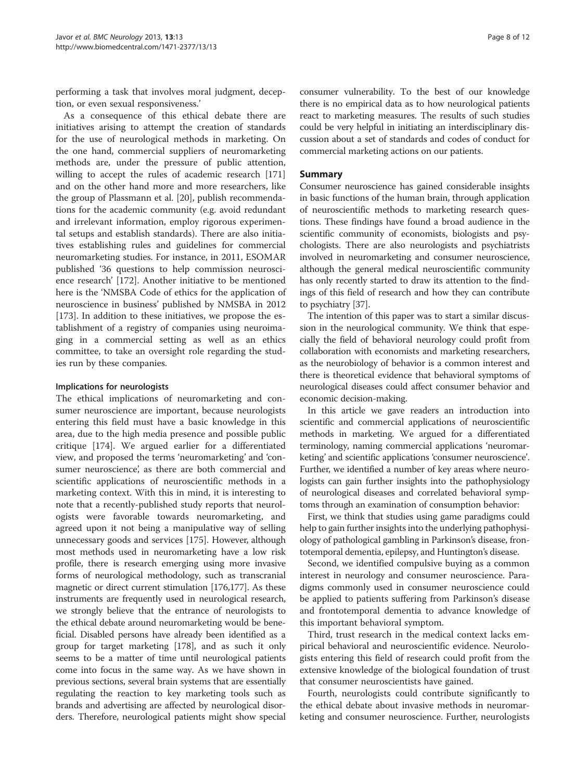performing a task that involves moral judgment, deception, or even sexual responsiveness.'

As a consequence of this ethical debate there are initiatives arising to attempt the creation of standards for the use of neurological methods in marketing. On the one hand, commercial suppliers of neuromarketing methods are, under the pressure of public attention, willing to accept the rules of academic research [[171](#page-11-0)] and on the other hand more and more researchers, like the group of Plassmann et al. [[20](#page-8-0)], publish recommendations for the academic community (e.g. avoid redundant and irrelevant information, employ rigorous experimental setups and establish standards). There are also initiatives establishing rules and guidelines for commercial neuromarketing studies. For instance, in 2011, ESOMAR published '36 questions to help commission neuroscience research' [\[172](#page-11-0)]. Another initiative to be mentioned here is the 'NMSBA Code of ethics for the application of neuroscience in business' published by NMSBA in 2012 [[173\]](#page-11-0). In addition to these initiatives, we propose the establishment of a registry of companies using neuroimaging in a commercial setting as well as an ethics committee, to take an oversight role regarding the studies run by these companies.

## Implications for neurologists

The ethical implications of neuromarketing and consumer neuroscience are important, because neurologists entering this field must have a basic knowledge in this area, due to the high media presence and possible public critique [\[174\]](#page-11-0). We argued earlier for a differentiated view, and proposed the terms 'neuromarketing' and 'consumer neuroscience', as there are both commercial and scientific applications of neuroscientific methods in a marketing context. With this in mind, it is interesting to note that a recently-published study reports that neurologists were favorable towards neuromarketing, and agreed upon it not being a manipulative way of selling unnecessary goods and services [\[175\]](#page-11-0). However, although most methods used in neuromarketing have a low risk profile, there is research emerging using more invasive forms of neurological methodology, such as transcranial magnetic or direct current stimulation [\[176,177](#page-11-0)]. As these instruments are frequently used in neurological research, we strongly believe that the entrance of neurologists to the ethical debate around neuromarketing would be beneficial. Disabled persons have already been identified as a group for target marketing [[178](#page-11-0)], and as such it only seems to be a matter of time until neurological patients come into focus in the same way. As we have shown in previous sections, several brain systems that are essentially regulating the reaction to key marketing tools such as brands and advertising are affected by neurological disorders. Therefore, neurological patients might show special

consumer vulnerability. To the best of our knowledge there is no empirical data as to how neurological patients react to marketing measures. The results of such studies could be very helpful in initiating an interdisciplinary discussion about a set of standards and codes of conduct for commercial marketing actions on our patients.

# Summary

Consumer neuroscience has gained considerable insights in basic functions of the human brain, through application of neuroscientific methods to marketing research questions. These findings have found a broad audience in the scientific community of economists, biologists and psychologists. There are also neurologists and psychiatrists involved in neuromarketing and consumer neuroscience, although the general medical neuroscientific community has only recently started to draw its attention to the findings of this field of research and how they can contribute to psychiatry [\[37](#page-8-0)].

The intention of this paper was to start a similar discussion in the neurological community. We think that especially the field of behavioral neurology could profit from collaboration with economists and marketing researchers, as the neurobiology of behavior is a common interest and there is theoretical evidence that behavioral symptoms of neurological diseases could affect consumer behavior and economic decision-making.

In this article we gave readers an introduction into scientific and commercial applications of neuroscientific methods in marketing. We argued for a differentiated terminology, naming commercial applications 'neuromarketing' and scientific applications 'consumer neuroscience'. Further, we identified a number of key areas where neurologists can gain further insights into the pathophysiology of neurological diseases and correlated behavioral symptoms through an examination of consumption behavior:

First, we think that studies using game paradigms could help to gain further insights into the underlying pathophysiology of pathological gambling in Parkinson's disease, frontotemporal dementia, epilepsy, and Huntington's disease.

Second, we identified compulsive buying as a common interest in neurology and consumer neuroscience. Paradigms commonly used in consumer neuroscience could be applied to patients suffering from Parkinson's disease and frontotemporal dementia to advance knowledge of this important behavioral symptom.

Third, trust research in the medical context lacks empirical behavioral and neuroscientific evidence. Neurologists entering this field of research could profit from the extensive knowledge of the biological foundation of trust that consumer neuroscientists have gained.

Fourth, neurologists could contribute significantly to the ethical debate about invasive methods in neuromarketing and consumer neuroscience. Further, neurologists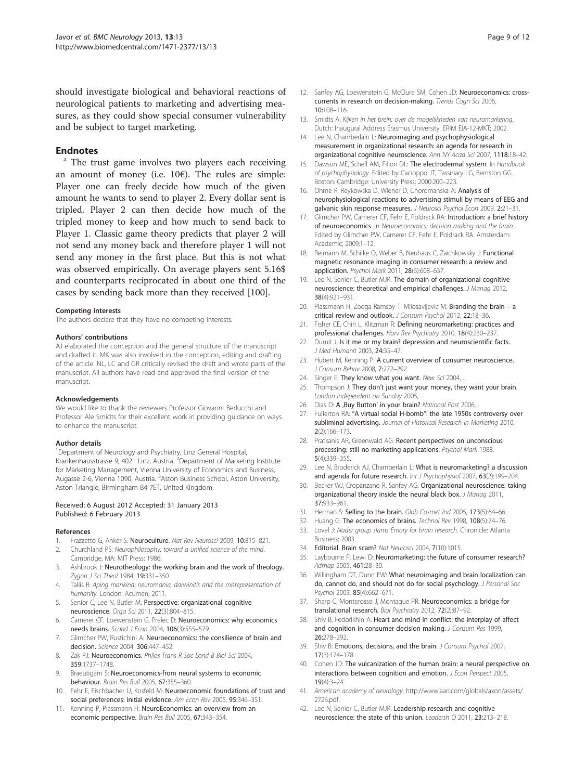<span id="page-8-0"></span>should investigate biological and behavioral reactions of neurological patients to marketing and advertising measures, as they could show special consumer vulnerability and be subject to target marketing.

**Endnotes**<br><sup>a</sup> The trust game involves two players each receiving an amount of money (i.e.  $10 \epsilon$ ). The rules are simple: Player one can freely decide how much of the given amount he wants to send to player 2. Every dollar sent is tripled. Player 2 can then decide how much of the tripled money to keep and how much to send back to Player 1. Classic game theory predicts that player 2 will not send any money back and therefore player 1 will not send any money in the first place. But this is not what was observed empirically. On average players sent 5.16\$ and counterparts reciprocated in about one third of the cases by sending back more than they received [[100](#page-10-0)].

#### Competing interests

The authors declare that they have no competing interests.

#### Authors' contributions

AJ elaborated the conception and the general structure of the manuscript and drafted it. MK was also involved in the conception, editing and drafting of the article. NL, LC and GR critically revised the draft and wrote parts of the manuscript. All authors have read and approved the final version of the manuscript.

#### Acknowledgements

We would like to thank the reviewers Professor Giovanni Berlucchi and Professor Ale Smidts for their excellent work in providing guidance on ways to enhance the manuscript.

#### Author details

<sup>1</sup>Department of Neurology and Psychiatry, Linz General Hospital, Krankenhausstrasse 9, 4021 Linz, Austria. <sup>2</sup>Department of Marketing Institute for Marketing Management, Vienna University of Economics and Business, Augasse 2-6, Vienna 1090, Austria. <sup>3</sup>Aston Business School, Aston University, Aston Triangle, Birmingham B4 7ET, United Kingdom.

#### Received: 6 August 2012 Accepted: 31 January 2013 Published: 6 February 2013

#### References

- 1. Frazzetto G, Anker S: Neuroculture. Nat Rev Neurosci 2009, 10:815-821.
- 2. Churchland PS: Neurophilosophy: toward a unified science of the mind. Cambridge, MA: MIT Press; 1986.
- 3. Ashbrook J: Neurotheology: the working brain and the work of theology. Zygon J Sci Theol 1984, 19:331-350.
- 4. Tallis R: Aping mankind: neuromania, darwinitis and the misrepresentation of humanity. London: Acumen; 2011.
- 5. Senior C, Lee N, Butler M: Perspective: organizational cognitive neuroscience. Orga Sci 2011, 22(3):804–815.
- 6. Camerer CF, Loewenstein G, Prelec D: Neuroeconomics: why economics needs brains. Scand J Econ 2004, 106(3):555–579.
- 7. Glimcher PW, Rustichini A: Neuroeconomics: the consilience of brain and decision. Science 2004, 306:447–452.
- 8. Zak PJ: Neuroeconomics. Philos Trans R Soc Lond B Biol Sci 2004, 359:1737–1748.
- Braeutigam S: Neuroeconomics-from neural systems to economic behaviour. Brain Res Bull 2005, 67:355–360.
- Fehr E, Fischbacher U, Kosfeld M: Neuroeconomic foundations of trust and social preferences: initial evidence. Am Econ Rev 2005, 95:346–351.
- 11. Kenning P, Plassmann H: NeuroEconomics: an overview from an economic perspective. Brain Res Bull 2005, 67:343–354.
- 12. Sanfey AG, Loewenstein G, McClure SM, Cohen JD: Neuroeconomics: crosscurrents in research on decision-making. Trends Cogn Sci 2006, 10:108–116.
- 13. Smidts A: Kijken in het brein: over de mogelijkheden van neuromarketing. Dutch: Inaugural Address Erasmus University: ERIM EIA-12-MKT; 2002.
- 14. Lee N, Chamberlain L: Neuroimaging and psychophysiological measurement in organizational research: an agenda for research in organizational cognitive neuroscience. Ann NY Acad Sci 2007, 1118:18–42.
- 15. Dawson ME, Schell AM, Filion DL: The electrodermal system. In Handbook of psychophysiology. Edited by Cacioppo JT, Tassinary LG, Bernston GG. Boston: Cambridge: University Press; 2000:200–223.
- 16. Ohme R, Reykowska D, Wiener D, Choromanska A: Analysis of neurophysiological reactions to advertising stimuli by means of EEG and galvanic skin response measures. J Neurosci Psychol Econ 2009, 2:21–31.
- 17. Glimcher PW, Camerer CF, Fehr E, Poldrack RA: Introduction: a brief history of neuroeconomics. In Neuroeconomics: decision making and the brain. Edited by Glimcher PW, Camerer CF, Fehr E, Poldrack RA. Amsterdam: Academic; 2009:1–12.
- 18. Reimann M, Schilke O, Weber B, Neuhaus C, Zaichkowsky J: Functional magnetic resonance imaging in consumer research: a review and application. Psychol Mark 2011, 28(6):608–637.
- 19. Lee N, Senior C, Butler MJR: The domain of organizational cognitive neuroscience: theoretical and empirical challenges. J Manag 2012, 38(4):921–931.
- 20. Plassmann H, Zoega Ramsoy T, Milosavljevic M: Branding the brain a critical review and outlook. J Consum Psychol 2012, 22:18–36.
- 21. Fisher CE, Chin L, Klitzman R: Defining neuromarketing: practices and professional challenges. Harv Rev Psychiatry 2010, 18(4):230–237.
- 22. Dumit J: Is it me or my brain? depression and neuroscientific facts. J Med Humanit 2003, 24:35–47.
- 23. Hubert M, Kenning P: A current overview of consumer neuroscience. J Consum Behav 2008, 7:272–292.
- 24. Singer E: They know what you want. New Sci 2004,
- 25. Thompson J: They don't just want your money, they want your brain. London Independent on Sunday 2005, .
- 26. Dias D: A , Buy Button' in your brain? National Post 2006,
- 27. Fullerton RA: "A virtual social H-bomb": the late 1950s controversy over subliminal advertising. Journal of Historical Research in Marketing 2010, 2(2):166–173.
- 28. Pratkanis AR, Greenwald AG: Recent perspectives on unconscious processing: still no marketing applications. Psychol Mark 1988, 5(4):339–355.
- 29. Lee N, Broderick AJ, Chamberlain L: What is neuromarketing? a discussion and agenda for future research. Int J Psychophysiol 2007, 63(2):199-204.
- 30. Becker WJ, Cropanzano R, Sanfey AG: Organizational neuroscience: taking organizational theory inside the neural black box. J Manag 2011, 37:933–961.
- 31. Herman S: Selling to the brain. Glob Cosmet Ind 2005, 173(5):64–66.
- 32. Huang G: The economics of brains. Technol Rev 1998, 108(5):74-76.
- 33. Lovel J: Nader group slams Emory for brain research. Chronicle: Atlanta Business; 2003.
- 34. Editorial. Brain scam? Nat Neurosci 2004, 7(10):1015.
- 35. Laybourne P, Lewi D: Neuromarketing: the future of consumer research? Admap 2005, 461:28-30.
- 36. Willingham DT, Dunn EW: What neuroimaging and brain localization can do, cannot do, and should not do for social psychology. J Personal Soc Psychol 2003, 85(4):662–671.
- 37. Sharp C, Monterosso J, Montague PR: Neuroeconomics: a bridge for translational research. Biol Psychiatry 2012, 72(2):87–92.
- 38. Shiv B, Fedorikhin A: Heart and mind in conflict: the interplay of affect and cognition in consumer decision making. J Consum Res 1999, 26:278–292.
- 39. Shiv B: Emotions, decisions, and the brain. J Consum Psychol 2007, 17(3):174–178.
- 40. Cohen JD: The vulcanization of the human brain: a neural perspective on interactions between cognition and emotion. J Econ Perspect 2005, 19(4):3–24.
- 41. American academy of neurology; [http://www.aan.com/globals/axon/assets/](http://www.aan.com/globals/axon/assets/2726.pdf) [2726.pdf](http://www.aan.com/globals/axon/assets/2726.pdf).
- 42. Lee N, Senior C, Butler MJR: Leadership research and cognitive neuroscience: the state of this union. Leadersh Q 2011, 23:213–218.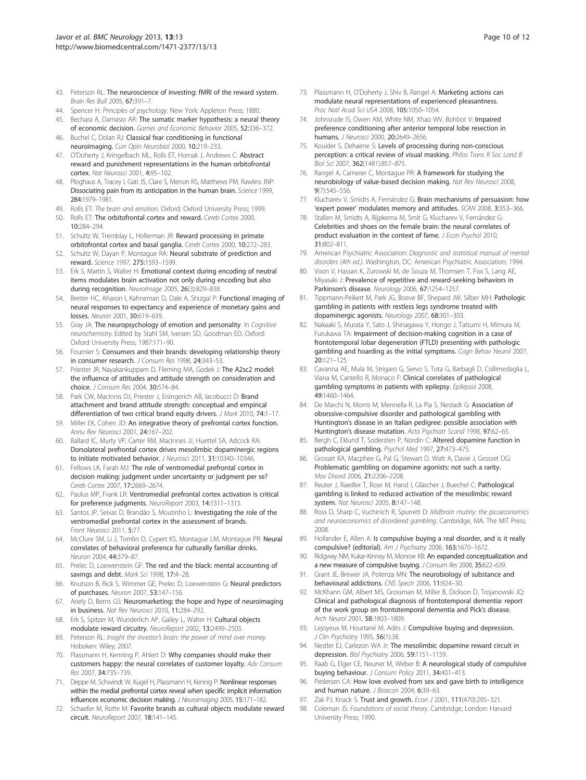- <span id="page-9-0"></span>43. Peterson RL: The neuroscience of investing: fMRI of the reward system. Brain Res Bull 2005, 67:391–7.
- 44. Spencer H: Principles of psychology. New York: Appleton Press; 1880.
- 45. Bechara A, Damasio AR: The somatic marker hypothesis: a neural theory of economic decision. Games and Economic Behavior 2005, 52:336–372.
- 46. Buchel C, Dolan RJ: Classical fear conditioning in functional neuroimaging. Curr Opin Neurobiol 2000, 10:219–233.
- 47. O'Doherty J, Kringelbach ML, Rolls ET, Hornak J, Andrews C: Abstract reward and punishment representations in the human orbitofrontal cortex. Nat Neurosci 2001, 4:95–102.
- 48. Ploghaus A, Tracey I, Gati JS, Clare S, Menon RS, Matthews PM, Rawlins JNP: Dissociating pain from its anticipation in the human brain. Science 1999, 284:1979–1981.
- 49. Rolls ET: The brain and emotion. Oxford: Oxford University Press; 1999.
- 50. Rolls ET: The orbitofrontal cortex and reward. Cereb Cortex 2000, 10:284–294.
- 51. Schultz W, Tremblay L, Hollerman JR: Reward processing in primate orbitofrontal cortex and basal ganglia. Cereb Cortex 2000, 10:272–283.
- 52. Schultz W, Dayan P, Montague RA: Neural substrate of prediction and reward. Science 1997, 275:1593–1599.
- 53. Erk S, Martin S, Walter H: Emotional context during encoding of neutral items modulates brain activation not only during encoding but also during recognition. NeuroImage 2005, 26(3):829-838.
- 54. Breiter HC, Aharon I, Kahneman D, Dale A, Shizgal P: Functional imaging of neural responses to expectancy and experience of monetary gains and losses. Neuron 2001, 30:619–639.
- 55. Gray JA: The neuropsychology of emotion and personality. In Cognitive neurochemistry. Edited by Stahl SM, Iversen SD, Goodman ED. Oxford: Oxford University Press; 1987:171–90.
- 56. Fournier S: Consumers and their brands: developing relationship theory in consumer research. J Consum Res 1998, 24:343–53.
- 57. Priester JR, Nayakankuppam D, Fleming MA, Godek J: The A2sc2 model: the influence of attitudes and attitude strength on consideration and choice. J Consum Res 2004, 30:574–84.
- 58. Park CW, MacInnis DJ, Priester J, Eisingerich AB, Iacobucci D: Brand attachment and brand attitude strength: conceptual and empirical differentiation of two critical brand equity drivers. J Mark 2010, 74:1-17.
- 59. Miller EK, Cohen JD: An integrative theory of prefrontal cortex function. Annu Rev Neurosci 2001, 24:167–202.
- 60. Ballard IC, Murty VP, Carter RM, MacInnes JJ, Huettel SA, Adcock RA: Dorsolateral prefrontal cortex drives mesolimbic dopaminergic regions to initiate motivated behavior. J Neurosci 2011, 31:10340–10346.
- 61. Fellows LK, Farah MJ: The role of ventromedial prefrontal cortex in decision making: judgment under uncertainty or judgment per se? Cereb Cortex 2007, 17:2669–2674.
- 62. Paulus MP, Frank LR: Ventromedial prefrontal cortex activation is critical for preference judgments. NeuroReport 2003, 14:1311–1315.
- 63. Santos JP, Seixas D, Brandão S, Moutinho L: Investigating the role of the ventromedial prefrontal cortex in the assessment of brands. Front Neurosci 2011, 5:77.
- 64. McClure SM, Li J, Tomlin D, Cypert KS, Montague LM, Montague PR: Neural correlates of behavioral preference for culturally familiar drinks. Neuron 2004, 44:379–87.
- 65. Prelec D, Loewenstein GF: The red and the black: mental accounting of savings and debt. Mark Sci 1998, 17:4-28.
- 66. Knutson B, Rick S, Wimmer GE, Prelec D, Loewenstein G: Neural predictors of purchases. Neuron 2007, 53:147–156.
- 67. Ariely D, Berns GS: Neuromarketing: the hope and hype of neuroimaging in business. Nat Rev Neurosci 2010, 11:284–292.
- 68. Erk S, Spitzer M, Wunderlich AP, Galley L, Walter H: Cultural objects modulate reward circuitry. NeuroReport 2002, 13:2499–2503.
- 69. Peterson RL: Insight the investor's brain: the power of mind over money. Hoboken: Wiley; 2007.
- 70. Plassmann H, Kenning P, Ahlert D: Why companies should make their customers happy: the neural correlates of customer loyalty. Adv Consum Res 2007, 34:735–739.
- 71. Deppe M, Schwindt W, Kugel H, Plassmann H, Kennig P: Nonlinear responses within the medial prefrontal cortex reveal when specific implicit information influences economic decision making. J Neuroimaging 2005, 15:171–182.
- 72. Schaefer M, Rotte M: Favorite brands as cultural objects modulate reward circuit. NeuroReport 2007, 18:141–145.
- 73. Plassmann H, O'Doherty J, Shiv B, Rangel A: Marketing actions can modulate neural representations of experienced pleasantness. Proc Natl Acad Sci USA 2008, 105:1050–1054.
- 74. Johnsrude IS, Owen AM, White NM, Xhao WV, Bohbot V: Impaired preference conditioning after anterior temporal lobe resection in humans. J Neurosci 2000, 20:2649–2656.
- 75. Kouider S, Dehaene S: Levels of processing during non-conscious perception: a critical review of visual masking. Philos Trans R Soc Lond B Biol Sci 2007, 362(1481):857–875.
- 76. Rangel A, Camerer C, Montague PR: A framework for studying the neurobiology of value-based decision making. Nat Rev Neurosci 2008, 9(7):545–556.
- 77. Klucharev V, Smidts A, Fernández G: Brain mechanisms of persuasion: how 'expert power' modulates memory and attitudes. SCAN 2008, 3:353–366.
- 78. Stallen M, Smidts A, Rijpkema M, Smit G, Klucharev V, Fernández G: Celebrities and shoes on the female brain: the neural correlates of product evaluation in the context of fame. J Econ Psychol 2010, 31:802–811.
- 79. American Psychiatric Association: Diagnostic and statistical manual of mental disorders (4th ed.). Washington, DC: American Psychiatric Association; 1994.
- 80. Voon V, Hassan K, Zurowski M, de Souza M, Thomsen T, Fox S, Lang AE, Miyasaki J: Prevalence of repetitive and reward-seeking behaviors in Parkinson's disease. Neurology 2006, 67:1254-1257.
- 81. Tippmann-Peikert M, Park JG, Boeve BF, Shepard JW, Silber MH: Pathologic gambling in patients with restless legs syndrome treated with dopaminergic agonists. Neurology 2007, 68:301–303.
- 82. Nakaaki S, Murata Y, Sato J, Shinagawa Y, Hongo J, Tatsumi H, Mimura M, Furukawa TA: Impairment of decision-making cognition in a case of frontotemporal lobar degeneration (FTLD) presenting with pathologic gambling and hoarding as the initial symptoms. Cogn Behav Neurol 2007, 20:121–125.
- 83. Cavanna AE, Mula M, Strigaro G, Servo S, Tota G, Barbagli D, Collimedaglia L, Viana M, Cantello R, Monaco F: Clinical correlates of pathological gambling symptoms in patients with epilepsy. Epilepsia 2008, 49:1460–1464.
- De Marchi N, Morris M, Mennella R, La Pia S, Nestadt G: Association of obsessive-compulsive disorder and pathological gambling with Huntington's disease in an Italian pedigree: possible association with Huntington's disease mutation. Acta Psychiatr Scand 1998, 97:62-65
- 85. Bergh C, Eklund T, Sodersten P, Nordin C: Altered dopamine function in pathological gambling. Psychol Med 1997, 27:473–475.
- 86. Grosset KA, Macphee G, Pal G, Stewart D, Watt A, Davie J, Grosset DG: Problematic gambling on dopamine agonists: not such a rarity. Mov Disord 2006, 21:2206–2208.
- 87. Reuter J, Raedler T, Rose M, Hand I, Gläscher J, Buechel C: Pathological gambling is linked to reduced activation of the mesolimbic reward system. Nat Neurosci 2005, 8:147–148.
- 88. Ross D, Sharp C, Vuchinich R, Spurrett D: Midbrain mutiny: the picoeconomics and neuroeconomics of disordered gambling. Cambridge, MA: The MIT Press; 2008.
- 89. Hollander E, Allen A: Is compulsive buying a real disorder, and is it really compulsive? (editorial). Am J Psychiatry 2006, 163:1670-1672.
- 90. Ridgway NM, Kukar-Kinney M, Monroe KB: An expanded conceptualization and a new measure of compulsive buying. J Consum Res 2008, 35:622–639.
- 91. Grant JE, Brewer JA, Potenza MN: The neurobiology of substance and behavioural addictions. CNS Spectr 2006, 11:924–30.
- 92. McKhann GM, Albert MS, Grossman M, Miller B, Dickson D, Trojanowski JQ: Clinical and pathological diagnosis of frontotemporal dementia: report of the work group on frontotemporal dementia and Pick's disease. Arch Neurol 2001, 58:1803–1809.
- 93. Lejoyeux M, Hourtané M, Adès J: Compulsive buying and depression. J Clin Psychiatry 1995, 56(1):38.
- 94. Nestler EJ, Carlezon WA Jr: The mesolimbic dopamine reward circuit in depression. Biol Psychiatry 2006, 59:1151-1159.
- 95. Raab G, Elger CE, Neuner M, Weber B: A neurological study of compulsive buying behaviour. J Consum Policy 2011, 34:401-413.
- 96. Pedersen CA: How love evolved from sex and gave birth to intelligence and human nature. J Bioecon 2004, 6:39-63.
- 97. Zak PJ, Knack S: Trust and growth. Econ J 2001, 111(470):295-321.
- 98. Coleman JS: Foundations of social theory. Cambridge, London: Harvard University Press; 1990.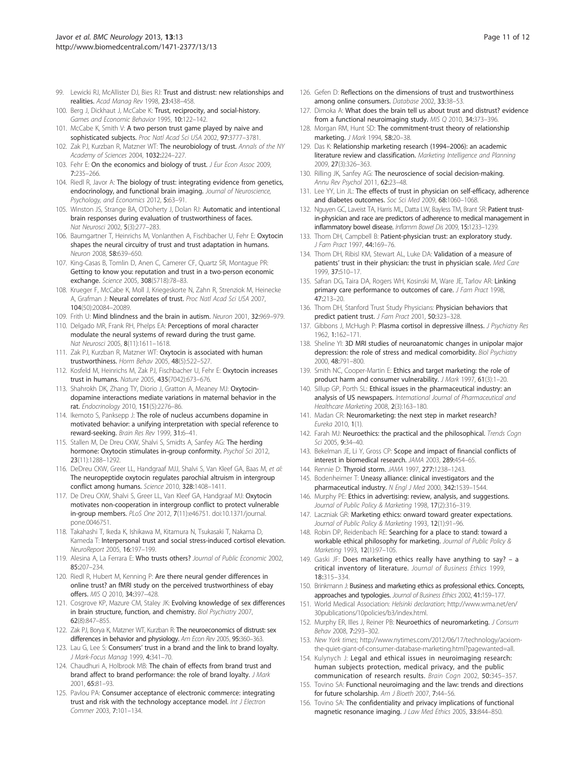- <span id="page-10-0"></span>99. Lewicki RJ, McAllister DJ, Bies RJ: Trust and distrust: new relationships and realities. Acad Manag Rev 1998, 23:438–458.
- 100. Berg J, Dickhaut J, McCabe K: Trust, reciprocity, and social-history. Games and Economic Behavior 1995, 10:122–142.
- 101. McCabe K, Smith V: A two person trust game played by naive and sophisticated subjects. Proc Natl Acad Sci USA 2002, 97:3777–3781.
- 102. Zak PJ, Kurzban R, Matzner WT: The neurobiology of trust. Annals of the NY Academy of Sciences 2004, 1032:224–227.
- 103. Fehr E: On the economics and biology of trust. J Eur Econ Assoc 2009, 7:235–266.
- 104. Riedl R, Javor A: The biology of trust: integrating evidence from genetics, endocrinology, and functional brain imaging. Journal of Neuroscience, Psychology, and Economics 2012, 5:63–91.
- 105. Winston JS, Strange BA, O'Doherty J, Dolan RJ: Automatic and intentional brain responses during evaluation of trustworthiness of faces. Nat Neurosci 2002, 5(3):277–283.
- 106. Baumgartner T, Heinrichs M, Vonlanthen A, Fischbacher U, Fehr E: Oxytocin shapes the neural circuitry of trust and trust adaptation in humans. Neuron 2008, 58:639–650.
- 107. King-Casas B, Tomlin D, Anen C, Camerer CF, Quartz SR, Montague PR: Getting to know you: reputation and trust in a two-person economic exchange. Science 2005, 308(5718):78–83.
- 108. Krueger F, McCabe K, Moll J, Kriegeskorte N, Zahn R, Strenziok M, Heinecke A, Grafman J: Neural correlates of trust. Proc Natl Acad Sci USA 2007, 104(50):20084–20089.
- 109. Frith U: Mind blindness and the brain in autism. Neuron 2001, 32:969–979.
- 110. Delgado MR, Frank RH, Phelps EA: Perceptions of moral character modulate the neural systems of reward during the trust game. Nat Neurosci 2005, 8(11):1611–1618.
- 111. Zak PJ, Kurzban R, Matzner WT: Oxytocin is associated with human trustworthiness. Horm Behav 2005, 48(5):522–527.
- 112. Kosfeld M, Heinrichs M, Zak PJ, Fischbacher U, Fehr E: Oxytocin increases trust in humans. Nature 2005, 435(7042):673–676.
- 113. Shahrokh DK, Zhang TY, Diorio J, Gratton A, Meaney MJ: Oxytocindopamine interactions mediate variations in maternal behavior in the rat. Endocrinology 2010, 151(5):2276–86.
- 114. Ikemoto S, Panksepp J: The role of nucleus accumbens dopamine in motivated behavior: a unifying interpretation with special reference to reward-seeking. Brain Res Rev 1999, 31:6–41.
- 115. Stallen M, De Dreu CKW, Shalvi S, Smidts A, Sanfey AG: The herding hormone: Oxytocin stimulates in-group conformity. Psychol Sci 2012, 23(11):1288–1292.
- 116. DeDreu CKW, Greer LL, Handgraaf MJJ, Shalvi S, Van Kleef GA, Baas M, et al: The neuropeptide oxytocin regulates parochial altruism in intergroup conflict among humans. Science 2010, 328:1408–1411.
- 117. De Dreu CKW, Shalvi S, Greer LL, Van Kleef GA, Handgraaf MJ: Oxytocin motivates non-cooperation in intergroup conflict to protect vulnerable in-group members. PLoS One 2012, 7(11):e46751. doi:[10.1371/journal.](http://dx.doi.org/10.1371/journal.pone.0046751) [pone.0046751.](http://dx.doi.org/10.1371/journal.pone.0046751)
- 118. Takahashi T, Ikeda K, Ishikawa M, Kitamura N, Tsukasaki T, Nakama D, Kameda T: Interpersonal trust and social stress-induced cortisol elevation. NeuroReport 2005, 16:197–199.
- 119. Alesina A, La Ferrara E: Who trusts others? Journal of Public Economic 2002, 85:207–234.
- 120. Riedl R, Hubert M, Kenning P: Are there neural gender differences in online trust? an fMRI study on the perceived trustworthiness of ebay offers. MIS Q 2010, 34:397–428.
- 121. Cosgrove KP, Mazure CM, Staley JK: Evolving knowledge of sex differences in brain structure, function, and chemistry. Biol Psychiatry 2007, 62(8):847–855.
- 122. Zak PJ, Borya K, Matzner WT, Kurzban R: The neuroeconomics of distrust: sex differences in behavior and physiology. Am Econ Rev 2005, 95:360–363.
- 123. Lau G, Lee S: Consumers' trust in a brand and the link to brand loyalty. J Mark-Focus Manag 1999, 4:341–70.
- 124. Chaudhuri A, Holbrook MB: The chain of effects from brand trust and brand affect to brand performance: the role of brand loyalty. J Mark 2001, 65:81–93.
- 125. Pavlou PA: Consumer acceptance of electronic commerce: integrating trust and risk with the technology acceptance model. Int J Electron Commer 2003, 7:101–134.
- 126. Gefen D: Reflections on the dimensions of trust and trustworthiness among online consumers. Database 2002, 33:38–53.
- 127. Dimoka A: What does the brain tell us about trust and distrust? evidence from a functional neuroimaging study. MIS Q 2010, 34:373-396.
- 128. Morgan RM, Hunt SD: The commitment-trust theory of relationship marketing. J Mark 1994, 58:20–38.
- 129. Das K: Relationship marketing research (1994–2006): an academic literature review and classification. Marketing Intelligence and Planning 2009, 27(3):326–363.
- 130. Rilling JK, Sanfey AG: The neuroscience of social decision-making. Annu Rev Psychol 2011, 62:23–48.
- 131. Lee YY, Lin JL: The effects of trust in physician on self-efficacy, adherence and diabetes outcomes. Soc Sci Med 2009, 68:1060–1068.
- 132. Nguyen GC, Laveist TA, Harris ML, Datta LW, Bayless TM, Brant SR: Patient trustin-physician and race are predictors of adherence to medical management in inflammatory bowel disease. Inflamm Bowel Dis 2009, 15:1233–1239.
- 133. Thom DH, Campbell B: Patient-physician trust: an exploratory study. J Fam Pract 1997, 44:169–76.
- 134. Thom DH, Ribisl KM, Stewart AL, Luke DA: Validation of a measure of patients' trust in their physician: the trust in physician scale. Med Care 1999, 37:510–17.
- 135. Safran DG, Taira DA, Rogers WH, Kosinski M, Ware JE, Tarlov AR: Linking primary care performance to outcomes of care. J Fam Pract 1998, 47:213–20.
- 136. Thom DH, Stanford Trust Study Physicians: Physician behaviors that predict patient trust. J Fam Pract 2001, 50:323-328.
- 137. Gibbons J, McHugh P: Plasma cortisol in depressive illness. J Psychiatry Res 1962, 1:162–171.
- 138. Sheline YI: 3D MRI studies of neuroanatomic changes in unipolar major depression: the role of stress and medical comorbidity. Biol Psychiatry 2000, 48:791–800.
- 139. Smith NC, Cooper-Martin E: Ethics and target marketing: the role of product harm and consumer vulnerability. J Mark 1997, 61(3):1–20.
- 140. Sillup GP, Porth SL: Ethical issues in the pharmaceutical industry: an analysis of US newspapers. International Journal of Pharmaceutical and Healthcare Marketing 2008, 2(3):163–180.
- 141. Madan CR: Neuromarketing: the next step in market research? Eureka 2010, 1(1).
- 142. Farah MJ: Neuroethics: the practical and the philosophical. Trends Cogn Sci 2005, 9:34-40.
- 143. Bekelman JE, Li Y, Gross CP: Scope and impact of financial conflicts of interest in biomedical research. JAMA 2003, 289:454–65.
- 144. Rennie D: Thyroid storm. JAMA 1997, 277:1238–1243.
- 145. Bodenheimer T: Uneasy alliance: clinical investigators and the pharmaceutical industry. N Engl J Med 2000, 342:1539–1544.
- 146. Murphy PE: Ethics in advertising: review, analysis, and suggestions. Journal of Public Policy & Marketing 1998, 17(2):316–319.
- 147. Laczniak GR: Marketing ethics: onward toward greater expectations. Journal of Public Policy & Marketing 1993, 12(1):91–96.
- 148. Robin DP, Reidenbach RE: Searching for a place to stand: toward a workable ethical philosophy for marketing. Journal of Public Policy & Marketing 1993, 12(1):97–105.
- 149. Gaski JF: Does marketing ethics really have anything to say? a critical inventory of literature. Journal of Business Ethics 1999, 18:315–334.
- 150. Brinkmann J: Business and marketing ethics as professional ethics. Concepts, approaches and typologies. Journal of Business Ethics 2002, 41:159–177.
- 151. World Medical Association: Helsinki declaration; [http://www.wma.net/en/](http://www.wma.net/en/30publications/10policies/b3/index.html) [30publications/10policies/b3/index.html.](http://www.wma.net/en/30publications/10policies/b3/index.html)
- 152. Murphy ER, Illes J, Reiner PB: Neuroethics of neuromarketing. J Consum Behav 2008, 7:293–302.
- 153. New York times; [http://www.nytimes.com/2012/06/17/technology/acxiom](http://www.nytimes.com/2012/06/17/technology/acxiom-the-quiet-giant-of-consumer-database-marketing.html?pagewanted=all)[the-quiet-giant-of-consumer-database-marketing.html?pagewanted=all.](http://www.nytimes.com/2012/06/17/technology/acxiom-the-quiet-giant-of-consumer-database-marketing.html?pagewanted=all)
- 154. Kulynych J: Legal and ethical issues in neuroimaging research: human subjects protection, medical privacy, and the public communication of research results. Brain Cogn 2002, 50:345–357.
- 155. Tovino SA: Functional neuroimaging and the law: trends and directions for future scholarship. Am J Bioeth 2007, 7:44–56.
- 156. Tovino SA: The confidentiality and privacy implications of functional magnetic resonance imaging. J Law Med Ethics 2005, 33:844–850.